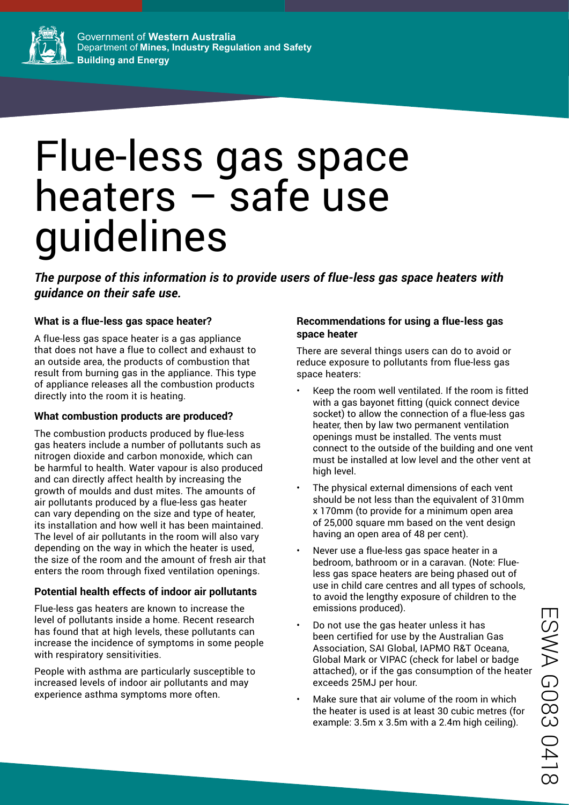

# Flue-less gas space heaters – safe use guidelines

*The purpose of this information is to provide users of flue-less gas space heaters with guidance on their safe use.*

# **What is a flue-less gas space heater?**

A flue-less gas space heater is a gas appliance that does not have a flue to collect and exhaust to an outside area, the products of combustion that result from burning gas in the appliance. This type of appliance releases all the combustion products directly into the room it is heating.

### **What combustion products are produced?**

The combustion products produced by flue-less gas heaters include a number of pollutants such as nitrogen dioxide and carbon monoxide, which can be harmful to health. Water vapour is also produced and can directly affect health by increasing the growth of moulds and dust mites. The amounts of air pollutants produced by a flue-less gas heater can vary depending on the size and type of heater, its installation and how well it has been maintained. The level of air pollutants in the room will also vary depending on the way in which the heater is used, the size of the room and the amount of fresh air that enters the room through fixed ventilation openings.

# **Potential health effects of indoor air pollutants**

Flue-less gas heaters are known to increase the level of pollutants inside a home. Recent research has found that at high levels, these pollutants can increase the incidence of symptoms in some people with respiratory sensitivities.

People with asthma are particularly susceptible to increased levels of indoor air pollutants and may experience asthma symptoms more often.

#### **Recommendations for using a flue-less gas space heater**

There are several things users can do to avoid or reduce exposure to pollutants from flue-less gas space heaters:

- Keep the room well ventilated. If the room is fitted with a gas bayonet fitting (quick connect device socket) to allow the connection of a flue-less gas heater, then by law two permanent ventilation openings must be installed. The vents must connect to the outside of the building and one vent must be installed at low level and the other vent at high level.
- The physical external dimensions of each vent should be not less than the equivalent of 310mm x 170mm (to provide for a minimum open area of 25,000 square mm based on the vent design having an open area of 48 per cent).
- Never use a flue-less gas space heater in a bedroom, bathroom or in a caravan. (Note: Flueless gas space heaters are being phased out of use in child care centres and all types of schools, to avoid the lengthy exposure of children to the emissions produced).
- Do not use the gas heater unless it has been certified for use by the Australian Gas Association, SAI Global, IAPMO R&T Oceana, Global Mark or VIPAC (check for label or badge attached), or if the gas consumption of the heater exceeds 25MJ per hour.
- Make sure that air volume of the room in which the heater is used is at least 30 cubic metres (for example: 3.5m x 3.5m with a 2.4m high ceiling).